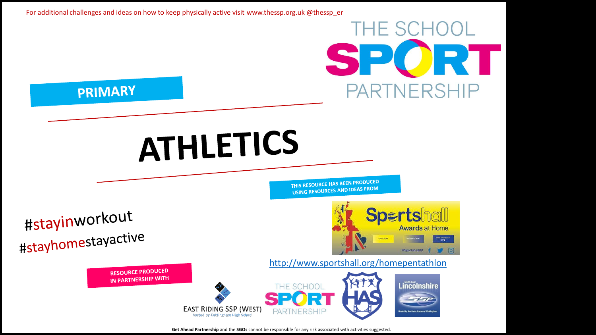

**Get Ahead Partnership** and the **SGOs** cannot be responsible for any risk associated with activities suggested.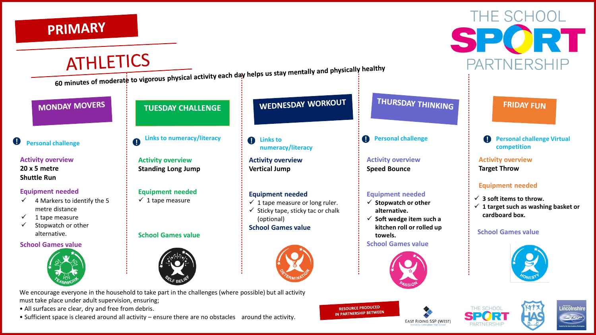## **PRIMARY**



• All surfaces are clear, dry and free from debris.

• Sufficient space is cleared around all activity – ensure there are no obstacles around the activity.

**EAST RIDING SSP (WEST)** 

IN PARTNERSHIP BETWEEN



THE SCHOOL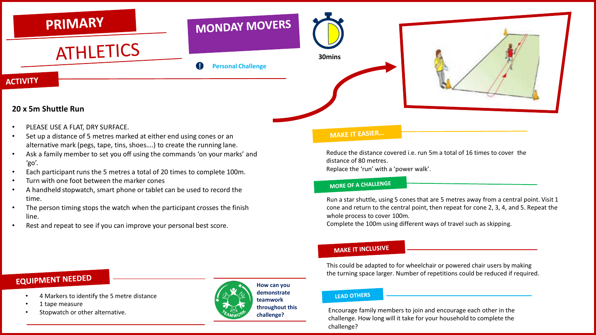

- PLEASE USE A FLAT, DRY SURFACE.
- Set up a distance of 5 metres marked at either end using cones or an alternative mark (pegs, tape, tins, shoes….) to create the running lane.
- Ask a family member to set you off using the commands 'on your marks' and 'go'.
- Each participant runs the 5 metres a total of 20 times to complete 100m.
- Turn with one foot between the marker cones
- A handheld stopwatch, smart phone or tablet can be used to record the time.
- The person timing stops the watch when the participant crosses the finish line.
- Rest and repeat to see if you can improve your personal best score.

#### **MAKE IT EASIER...**

Reduce the distance covered i.e. run 5m a total of 16 times to cover the distance of 80 metres. Replace the 'run' with a 'power walk'.

#### **MORE OF A CHALLENGE**

Run a star shuttle, using 5 cones that are 5 metres away from a central point. Visit 1 cone and return to the central point, then repeat for cone 2, 3, 4, and 5. Repeat the whole process to cover 100m.

Complete the 100m using different ways of travel such as skipping.

#### **MAKE IT INCLUSIVE**

This could be adapted to for wheelchair or powered chair users by making the turning space larger. Number of repetitions could be reduced if required.

## **EQUIPMENT NEEDED**

- 4 Markers to identify the 5 metre distance
- 1 tape measure
- Stopwatch or other alternative.



**demonstrate teamwork throughout this challenge?**

#### **I FAD OTHERS**

Encourage family members to join and encourage each other in the challenge. How long will it take for your household to complete the challenge?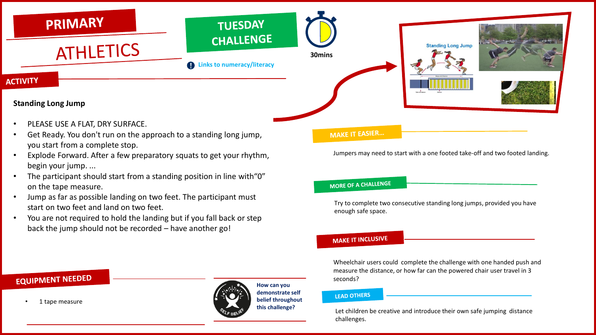

- PLEASE USE A FLAT, DRY SURFACE.
- Get Ready. You don't run on the approach to a standing long jump, you start from a complete stop.
- Explode Forward. After a few preparatory squats to get your rhythm, begin your jump. ...
- The participant should start from a standing position in line with"0" on the tape measure.
- Jump as far as possible landing on two feet. The participant must start on two feet and land on two feet.
- You are not required to hold the landing but if you fall back or step back the jump should not be recorded – have another go!

#### **MAKE IT EASIER...**

Jumpers may need to start with a one footed take-off and two footed landing.

#### **MORE OF A CHALLENGE**

Try to complete two consecutive standing long jumps, provided you have enough safe space.

#### **MAKE IT INCLUSIVE**

Wheelchair users could complete the challenge with one handed push and measure the distance, or how far can the powered chair user travel in 3 seconds?

#### **LEAD OTHERS**

Let children be creative and introduce their own safe jumping distance challenges.

## EQUIPMENT NEEDED

• 1 tape measure

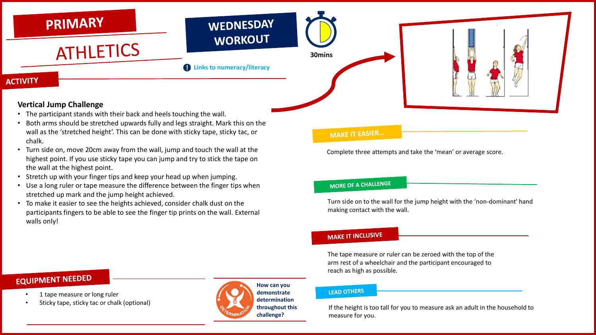

- The participant stands with their back and heels touching the wall.
- Both arms should be stretched upwards fully and legs straight. Mark this on the wall as the 'stretched height'. This can be done with sticky tape, sticky tac, or chalk.
- Turn side on, move 20cm away from the wall, jump and touch the wall at the highest point. If you use sticky tape you can jump and try to stick the tape on the wall at the highest point.
- Stretch up with your finger tips and keep your head up when jumping.
- Use a long ruler or tape measure the difference between the finger tips when stretched up mark and the jump height achieved.
- To make it easier to see the heights achieved, consider chalk dust on the participants fingers to be able to see the finger tip prints on the wall. External walls only!

#### **MAKE IT EASIER...**

Complete three attempts and take the 'mean' or average score.

#### **MORE OF A CHALLENGE**

Turn side on to the wall for the jump height with the 'non-dominant' hand making contact with the wall.

#### **MAKE IT INCLUSIVE**

The tape measure or ruler can be zeroed with the top of the arm rest of a wheelchair and the participant encouraged to reach as high as possible.

## **EQUIPMENT NEEDED**

- 1 tape measure or long ruler
- Sticky tape, sticky tac or chalk (optional)



#### **LEAD OTHERS**

If the height is too tall for you to measure ask an adult in the household to measure for you.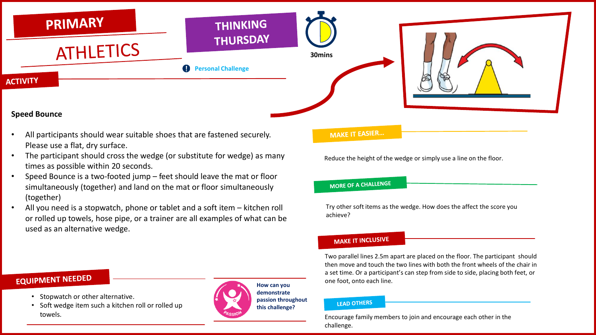

#### **Speed Bounce**

- All participants should wear suitable shoes that are fastened securely. Please use a flat, dry surface.
- The participant should cross the wedge (or substitute for wedge) as many times as possible within 20 seconds.
- Speed Bounce is a two-footed jump feet should leave the mat or floor simultaneously (together) and land on the mat or floor simultaneously (together)
- All you need is a stopwatch, phone or tablet and a soft item kitchen roll or rolled up towels, hose pipe, or a trainer are all examples of what can be used as an alternative wedge.

#### **MAKE IT EASIER...**

Reduce the height of the wedge or simply use a line on the floor.

#### **MORE OF A CHALLENGE**

Try other soft items as the wedge. How does the affect the score you achieve?

#### **MAKE IT INCLUSIVE**

Two parallel lines 2.5m apart are placed on the floor. The participant should then move and touch the two lines with both the front wheels of the chair in a set time. Or a participant's can step from side to side, placing both feet, or one foot, onto each line.

#### **LEAD OTHERS**

Encourage family members to join and encourage each other in the challenge.

## **EQUIPMENT NEEDED**

- Stopwatch or other alternative.
- Soft wedge item such a kitchen roll or rolled up towels.